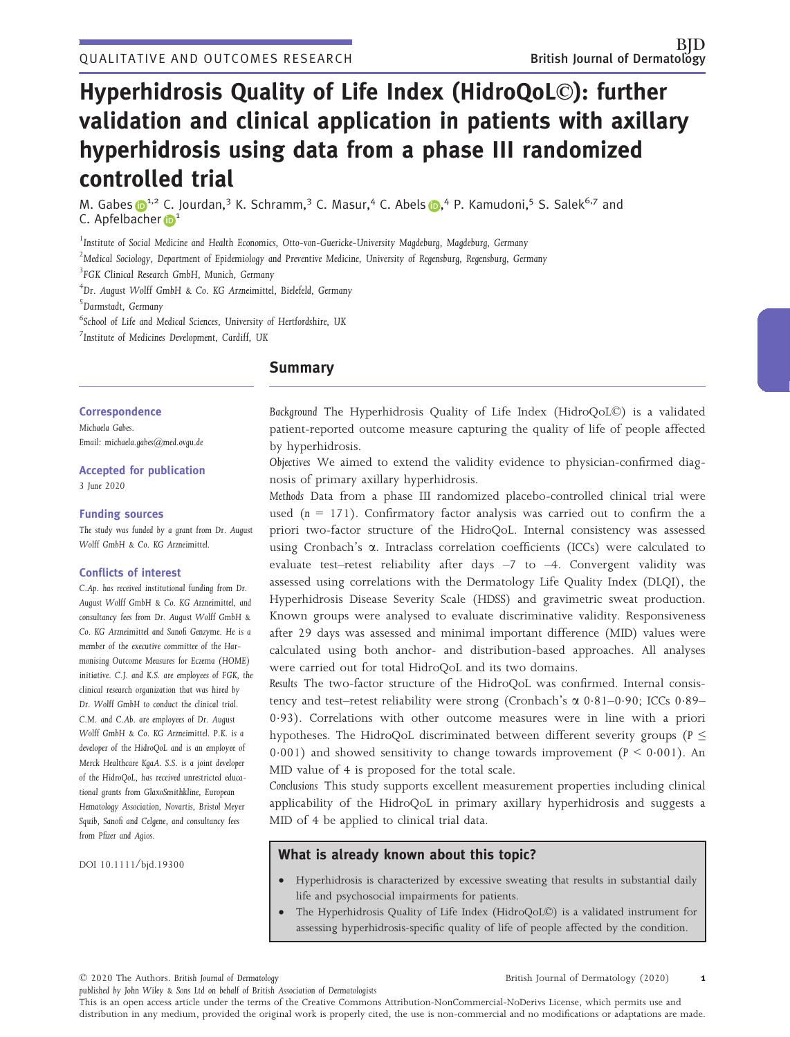# Hyperhidrosis Quality of Life Index (HidroQoL©): further validation and clinical application in patients with axillary hyperhidrosis using data from a phase III randomized controlled trial

M. Gabe[s](https://orcid.org/0000-0002-7778-7740) **D**<sup>1,2</sup> C. Jourdan,<sup>3</sup> K. Schramm,<sup>3</sup> C. Masur,<sup>4</sup> C. Abels D,<sup>4</sup> P. Kamudoni,<sup>5</sup> S. Salek<sup>6,7</sup> and C. Apfelb[a](https://orcid.org/0000-0003-1672-7549)cher **D**<sup>1</sup>

<sup>1</sup> Institute of Social Medicine and Health Economics, Otto-von-Guericke-University Magdeburg, Magdeburg, Germany

 $^2$ Medical Sociology, Department of Epidemiology and Preventive Medicine, University of Regensburg, Regensburg, Germany

3 FGK Clinical Research GmbH, Munich, Germany

4 Dr. August Wolff GmbH & Co. KG Arzneimittel, Bielefeld, Germany

5 Darmstadt, Germany

6 School of Life and Medical Sciences, University of Hertfordshire, UK

7 Institute of Medicines Development, Cardiff, UK

# **Summary**

# **Correspondence**

Michaela Gabes. Email: [michaela.gabes@med.ovgu.de](mailto:)

# Accepted for publication

3 June 2020

# Funding sources

The study was funded by a grant from Dr. August Wolff GmbH & Co. KG Arzneimittel.

# Conflicts of interest

C.Ap. has received institutional funding from Dr. August Wolff GmbH & Co. KG Arzneimittel, and consultancy fees from Dr. August Wolff GmbH & Co. KG Arzneimittel and Sanofi Genzyme. He is a member of the executive committee of the Harmonising Outcome Measures for Eczema (HOME) initiative. C.J. and K.S. are employees of FGK, the clinical research organization that was hired by Dr. Wolff GmbH to conduct the clinical trial. C.M. and C.Ab. are employees of Dr. August Wolff GmbH & Co. KG Arzneimittel. P.K. is a developer of the HidroQoL and is an employee of Merck Healthcare KgaA. S.S. is a joint developer of the HidroQoL, has received unrestricted educational grants from GlaxoSmithkline, European Hematology Association, Novartis, Bristol Meyer Squib, Sanofi and Celgene, and consultancy fees from Pfizer and Agios.

DOI 10.1111/bjd.19300

Background The Hyperhidrosis Quality of Life Index (HidroQoL©) is a validated patient-reported outcome measure capturing the quality of life of people affected by hyperhidrosis.

Objectives We aimed to extend the validity evidence to physician-confirmed diagnosis of primary axillary hyperhidrosis.

Methods Data from a phase III randomized placebo-controlled clinical trial were used  $(n = 171)$ . Confirmatory factor analysis was carried out to confirm the a priori two-factor structure of the HidroQoL. Internal consistency was assessed using Cronbach's  $\alpha$ . Intraclass correlation coefficients (ICCs) were calculated to evaluate test–retest reliability after days –7 to –4. Convergent validity was assessed using correlations with the Dermatology Life Quality Index (DLQI), the Hyperhidrosis Disease Severity Scale (HDSS) and gravimetric sweat production. Known groups were analysed to evaluate discriminative validity. Responsiveness after 29 days was assessed and minimal important difference (MID) values were calculated using both anchor- and distribution-based approaches. All analyses were carried out for total HidroQoL and its two domains.

Results The two-factor structure of the HidroQoL was confirmed. Internal consistency and test–retest reliability were strong (Cronbach's  $\alpha$  0.81–0.90; ICCs 0.89– 093). Correlations with other outcome measures were in line with a priori hypotheses. The HidroQoL discriminated between different severity groups ( $P \leq$ 0.001) and showed sensitivity to change towards improvement ( $P < 0.001$ ). An MID value of 4 is proposed for the total scale.

Conclusions This study supports excellent measurement properties including clinical applicability of the HidroQoL in primary axillary hyperhidrosis and suggests a MID of 4 be applied to clinical trial data.

# What is already known about this topic?

- Hyperhidrosis is characterized by excessive sweating that results in substantial daily life and psychosocial impairments for patients.
- The Hyperhidrosis Quality of Life Index (HidroQoL©) is a validated instrument for assessing hyperhidrosis-specific quality of life of people affected by the condition.

© 2020 The Authors. British Journal of Dermatology

published by John Wiley & Sons Ltd on behalf of British Association of Dermatologists

British Journal of Dermatology (2020) 1

This is an open access article under the terms of the [Creative Commons Attribution-NonCommercial-NoDerivs](http://creativecommons.org/licenses/by-nc-nd/4.0/) License, which permits use and distribution in any medium, provided the original work is properly cited, the use is non-commercial and no modifications or adaptations are made.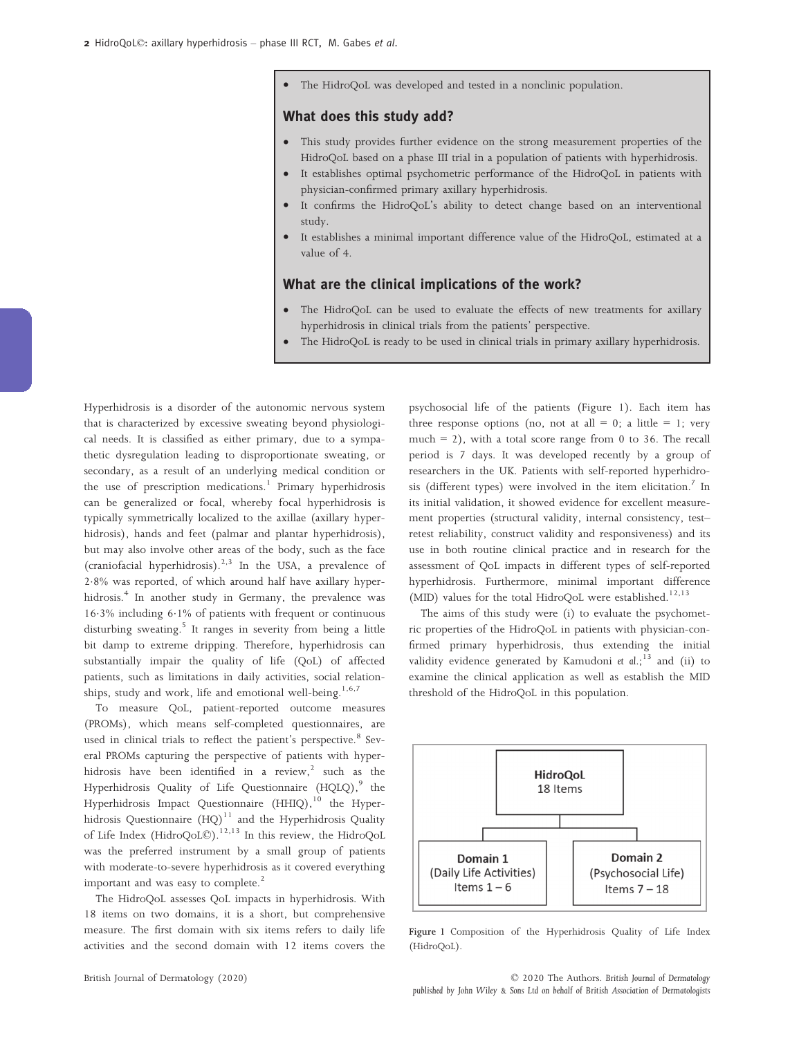• The HidroQoL was developed and tested in a nonclinic population.

# What does this study add?

- This study provides further evidence on the strong measurement properties of the HidroQoL based on a phase III trial in a population of patients with hyperhidrosis.
- It establishes optimal psychometric performance of the HidroQoL in patients with physician-confirmed primary axillary hyperhidrosis.
- It confirms the HidroQoL's ability to detect change based on an interventional study.
- It establishes a minimal important difference value of the HidroQoL, estimated at a value of 4.

# What are the clinical implications of the work?

- The HidroQoL can be used to evaluate the effects of new treatments for axillary hyperhidrosis in clinical trials from the patients' perspective.
- The HidroQoL is ready to be used in clinical trials in primary axillary hyperhidrosis.

Hyperhidrosis is a disorder of the autonomic nervous system that is characterized by excessive sweating beyond physiological needs. It is classified as either primary, due to a sympathetic dysregulation leading to disproportionate sweating, or secondary, as a result of an underlying medical condition or the use of prescription medications.<sup>1</sup> Primary hyperhidrosis can be generalized or focal, whereby focal hyperhidrosis is typically symmetrically localized to the axillae (axillary hyperhidrosis), hands and feet (palmar and plantar hyperhidrosis), but may also involve other areas of the body, such as the face (craniofacial hyperhidrosis).<sup>2,3</sup> In the USA, a prevalence of 28% was reported, of which around half have axillary hyperhidrosis.<sup>4</sup> In another study in Germany, the prevalence was 163% including 61% of patients with frequent or continuous disturbing sweating.<sup>5</sup> It ranges in severity from being a little bit damp to extreme dripping. Therefore, hyperhidrosis can substantially impair the quality of life (QoL) of affected patients, such as limitations in daily activities, social relationships, study and work, life and emotional well-being.<sup>1,6,7</sup>

To measure QoL, patient-reported outcome measures (PROMs), which means self-completed questionnaires, are used in clinical trials to reflect the patient's perspective.<sup>8</sup> Several PROMs capturing the perspective of patients with hyperhidrosis have been identified in a review, $2$  such as the Hyperhidrosis Quality of Life Questionnaire (HQLQ),<sup>9</sup> the Hyperhidrosis Impact Questionnaire (HHIQ), $^{10}$  the Hyperhidrosis Questionnaire  $(HQ)^{11}$  and the Hyperhidrosis Quality of Life Index (HidroQoL©).12,13 In this review, the HidroQoL was the preferred instrument by a small group of patients with moderate-to-severe hyperhidrosis as it covered everything important and was easy to complete.<sup>2</sup>

The HidroQoL assesses QoL impacts in hyperhidrosis. With 18 items on two domains, it is a short, but comprehensive measure. The first domain with six items refers to daily life activities and the second domain with 12 items covers the psychosocial life of the patients (Figure 1). Each item has three response options (no, not at all = 0; a little = 1; very much  $= 2$ ), with a total score range from 0 to 36. The recall period is 7 days. It was developed recently by a group of researchers in the UK. Patients with self-reported hyperhidrosis (different types) were involved in the item elicitation.<sup>7</sup> In its initial validation, it showed evidence for excellent measurement properties (structural validity, internal consistency, test– retest reliability, construct validity and responsiveness) and its use in both routine clinical practice and in research for the assessment of QoL impacts in different types of self-reported hyperhidrosis. Furthermore, minimal important difference (MID) values for the total HidroQoL were established.<sup>12,13</sup>

The aims of this study were (i) to evaluate the psychometric properties of the HidroQoL in patients with physician-confirmed primary hyperhidrosis, thus extending the initial validity evidence generated by Kamudoni et  $dl$ ;<sup>13</sup> and (ii) to examine the clinical application as well as establish the MID threshold of the HidroQoL in this population.



Figure 1 Composition of the Hyperhidrosis Quality of Life Index (HidroQoL).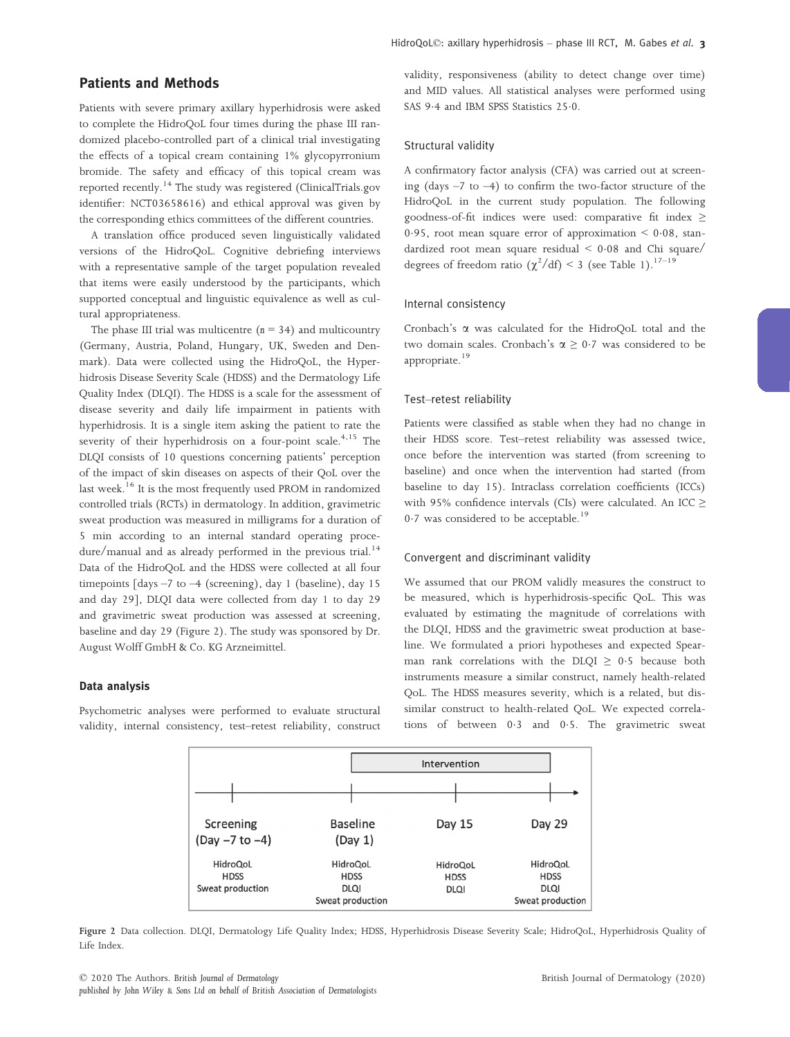# Patients and Methods

Patients with severe primary axillary hyperhidrosis were asked to complete the HidroQoL four times during the phase III randomized placebo-controlled part of a clinical trial investigating the effects of a topical cream containing 1% glycopyrronium bromide. The safety and efficacy of this topical cream was reported recently.<sup>14</sup> The study was registered (ClinicalTrials.gov identifier: NCT03658616) and ethical approval was given by the corresponding ethics committees of the different countries.

A translation office produced seven linguistically validated versions of the HidroQoL. Cognitive debriefing interviews with a representative sample of the target population revealed that items were easily understood by the participants, which supported conceptual and linguistic equivalence as well as cultural appropriateness.

The phase III trial was multicentre  $(n = 34)$  and multicountry (Germany, Austria, Poland, Hungary, UK, Sweden and Denmark). Data were collected using the HidroQoL, the Hyperhidrosis Disease Severity Scale (HDSS) and the Dermatology Life Quality Index (DLQI). The HDSS is a scale for the assessment of disease severity and daily life impairment in patients with hyperhidrosis. It is a single item asking the patient to rate the severity of their hyperhidrosis on a four-point scale.<sup>4,15</sup> The DLQI consists of 10 questions concerning patients' perception of the impact of skin diseases on aspects of their QoL over the last week.<sup>16</sup> It is the most frequently used PROM in randomized controlled trials (RCTs) in dermatology. In addition, gravimetric sweat production was measured in milligrams for a duration of 5 min according to an internal standard operating procedure/manual and as already performed in the previous trial.<sup>14</sup> Data of the HidroQoL and the HDSS were collected at all four timepoints [days –7 to –4 (screening), day 1 (baseline), day 15 and day 29], DLQI data were collected from day 1 to day 29 and gravimetric sweat production was assessed at screening, baseline and day 29 (Figure 2). The study was sponsored by Dr. August Wolff GmbH & Co. KG Arzneimittel.

#### Data analysis

Psychometric analyses were performed to evaluate structural validity, internal consistency, test–retest reliability, construct

validity, responsiveness (ability to detect change over time) and MID values. All statistical analyses were performed using SAS 9.4 and IBM SPSS Statistics 25.0.

## Structural validity

A confirmatory factor analysis (CFA) was carried out at screening (days  $-7$  to  $-4$ ) to confirm the two-factor structure of the HidroQoL in the current study population. The following goodness-of-fit indices were used: comparative fit index ≥ 0.95, root mean square error of approximation  $\leq$  0.08, standardized root mean square residual  $\leq 0.08$  and Chi square/ degrees of freedom ratio  $(\chi^2/df) < 3$  (see Table 1).<sup>17-19</sup>

#### Internal consistency

Cronbach's a was calculated for the HidroQoL total and the two domain scales. Cronbach's  $\alpha \geq 0.7$  was considered to be appropriate.<sup>19</sup>

# Test–retest reliability

Patients were classified as stable when they had no change in their HDSS score. Test–retest reliability was assessed twice, once before the intervention was started (from screening to baseline) and once when the intervention had started (from baseline to day 15). Intraclass correlation coefficients (ICCs) with 95% confidence intervals (CIs) were calculated. An ICC  $\geq$  $0.7$  was considered to be acceptable.<sup>19</sup>

## Convergent and discriminant validity

We assumed that our PROM validly measures the construct to be measured, which is hyperhidrosis-specific QoL. This was evaluated by estimating the magnitude of correlations with the DLQI, HDSS and the gravimetric sweat production at baseline. We formulated a priori hypotheses and expected Spearman rank correlations with the DLQI  $\geq$  0.5 because both instruments measure a similar construct, namely health-related QoL. The HDSS measures severity, which is a related, but dissimilar construct to health-related QoL. We expected correlations of between 03 and 05. The gravimetric sweat



Figure 2 Data collection. DLQI, Dermatology Life Quality Index; HDSS, Hyperhidrosis Disease Severity Scale; HidroQoL, Hyperhidrosis Quality of Life Index.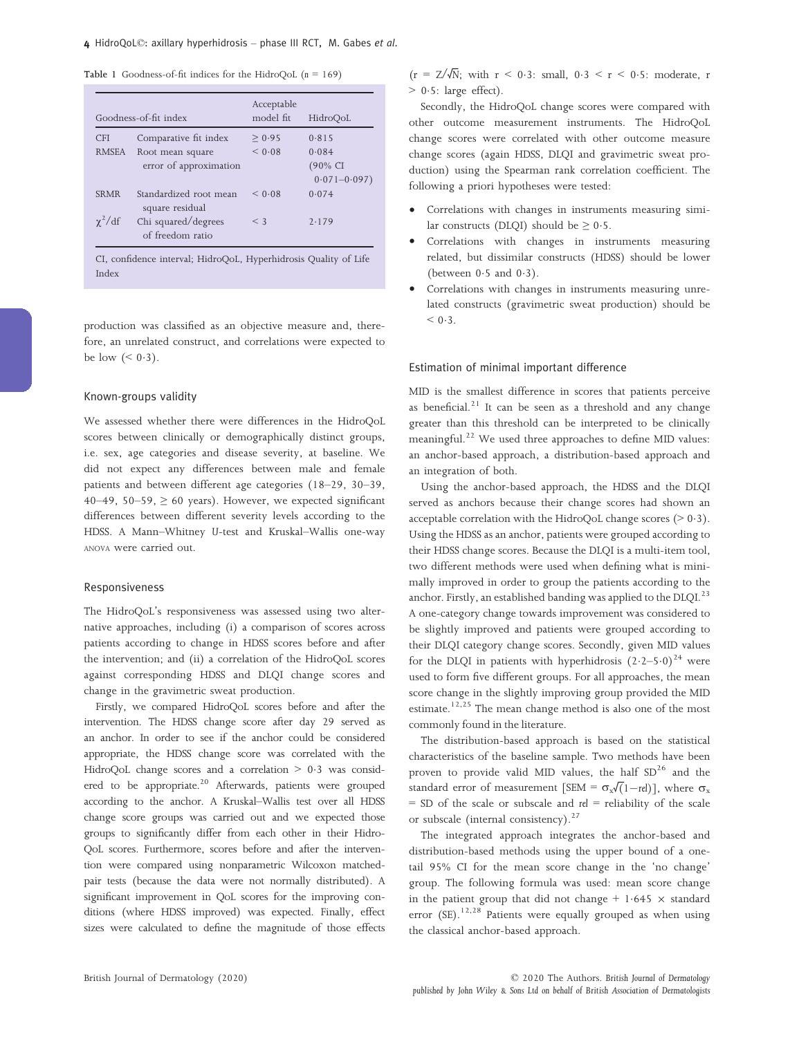Table 1 Goodness-of-fit indices for the HidroQoL  $(n = 169)$ 

|                        | Goodness-of-fit index                     | Acceptable<br>model fit | HidroQoL                                 |
|------------------------|-------------------------------------------|-------------------------|------------------------------------------|
| <b>CFI</b>             | Comparative fit index                     | > 0.95                  | 0.815                                    |
| <b>RMSEA</b>           | Root mean square                          | < 0.08                  | 0.084                                    |
|                        | error of approximation                    |                         | $(90\% \; \text{CI})$<br>$0.071 - 0.097$ |
| <b>SRMR</b>            | Standardized root mean<br>square residual | < 0.08                  | 0.074                                    |
| $\gamma^2/\mathrm{df}$ | Chi squared/degrees<br>of freedom ratio   | $\leq$ 3                | 2.179                                    |

CI, confidence interval; HidroQoL, Hyperhidrosis Quality of Life Index

production was classified as an objective measure and, therefore, an unrelated construct, and correlations were expected to be low  $( $0.3$ ).$ 

# Known-groups validity

We assessed whether there were differences in the HidroQoL scores between clinically or demographically distinct groups, i.e. sex, age categories and disease severity, at baseline. We did not expect any differences between male and female patients and between different age categories (18–29, 30–39, 40–49, 50–59,  $\geq 60$  years). However, we expected significant differences between different severity levels according to the HDSS. A Mann–Whitney U-test and Kruskal–Wallis one-way ANOVA were carried out.

#### Responsiveness

The HidroQoL's responsiveness was assessed using two alternative approaches, including (i) a comparison of scores across patients according to change in HDSS scores before and after the intervention; and (ii) a correlation of the HidroQoL scores against corresponding HDSS and DLQI change scores and change in the gravimetric sweat production.

Firstly, we compared HidroQoL scores before and after the intervention. The HDSS change score after day 29 served as an anchor. In order to see if the anchor could be considered appropriate, the HDSS change score was correlated with the HidroQoL change scores and a correlation  $> 0.3$  was considered to be appropriate.<sup>20</sup> Afterwards, patients were grouped according to the anchor. A Kruskal–Wallis test over all HDSS change score groups was carried out and we expected those groups to significantly differ from each other in their Hidro-QoL scores. Furthermore, scores before and after the intervention were compared using nonparametric Wilcoxon matchedpair tests (because the data were not normally distributed). A significant improvement in QoL scores for the improving conditions (where HDSS improved) was expected. Finally, effect sizes were calculated to define the magnitude of those effects

 $(r = Z/\sqrt{N}$ ; with  $r < 0.3$ : small,  $0.3 < r < 0.5$ : moderate, r  $> 0.5$ : large effect).

Secondly, the HidroQoL change scores were compared with other outcome measurement instruments. The HidroQoL change scores were correlated with other outcome measure change scores (again HDSS, DLQI and gravimetric sweat production) using the Spearman rank correlation coefficient. The following a priori hypotheses were tested:

- Correlations with changes in instruments measuring similar constructs (DLQI) should be  $\geq 0.5$ .
- Correlations with changes in instruments measuring related, but dissimilar constructs (HDSS) should be lower (between  $0.5$  and  $0.3$ ).
- Correlations with changes in instruments measuring unrelated constructs (gravimetric sweat production) should be  $< 0.3$ .

# Estimation of minimal important difference

MID is the smallest difference in scores that patients perceive as beneficial. $21$  It can be seen as a threshold and any change greater than this threshold can be interpreted to be clinically meaningful.<sup>22</sup> We used three approaches to define MID values: an anchor-based approach, a distribution-based approach and an integration of both.

Using the anchor-based approach, the HDSS and the DLQI served as anchors because their change scores had shown an acceptable correlation with the HidroQoL change scores  $(> 0.3)$ . Using the HDSS as an anchor, patients were grouped according to their HDSS change scores. Because the DLQI is a multi-item tool, two different methods were used when defining what is minimally improved in order to group the patients according to the anchor. Firstly, an established banding was applied to the DLQI.<sup>23</sup> A one-category change towards improvement was considered to be slightly improved and patients were grouped according to their DLQI category change scores. Secondly, given MID values for the DLOI in patients with hyperhidrosis  $(2.2-5.0)^{24}$  were used to form five different groups. For all approaches, the mean score change in the slightly improving group provided the MID estimate.<sup>12,25</sup> The mean change method is also one of the most commonly found in the literature.

The distribution-based approach is based on the statistical characteristics of the baseline sample. Two methods have been proven to provide valid MID values, the half  $SD^{26}$  and the standard error of measurement [SEM =  $\sigma_{\rm x}\sqrt{(1-\text{rel})}$ ], where  $\sigma_{\rm x}$  $=$  SD of the scale or subscale and rel  $=$  reliability of the scale or subscale (internal consistency). $27$ 

The integrated approach integrates the anchor-based and distribution-based methods using the upper bound of a onetail 95% CI for the mean score change in the 'no change' group. The following formula was used: mean score change in the patient group that did not change  $+ 1.645 \times$  standard error (SE).<sup>12,28</sup> Patients were equally grouped as when using the classical anchor-based approach.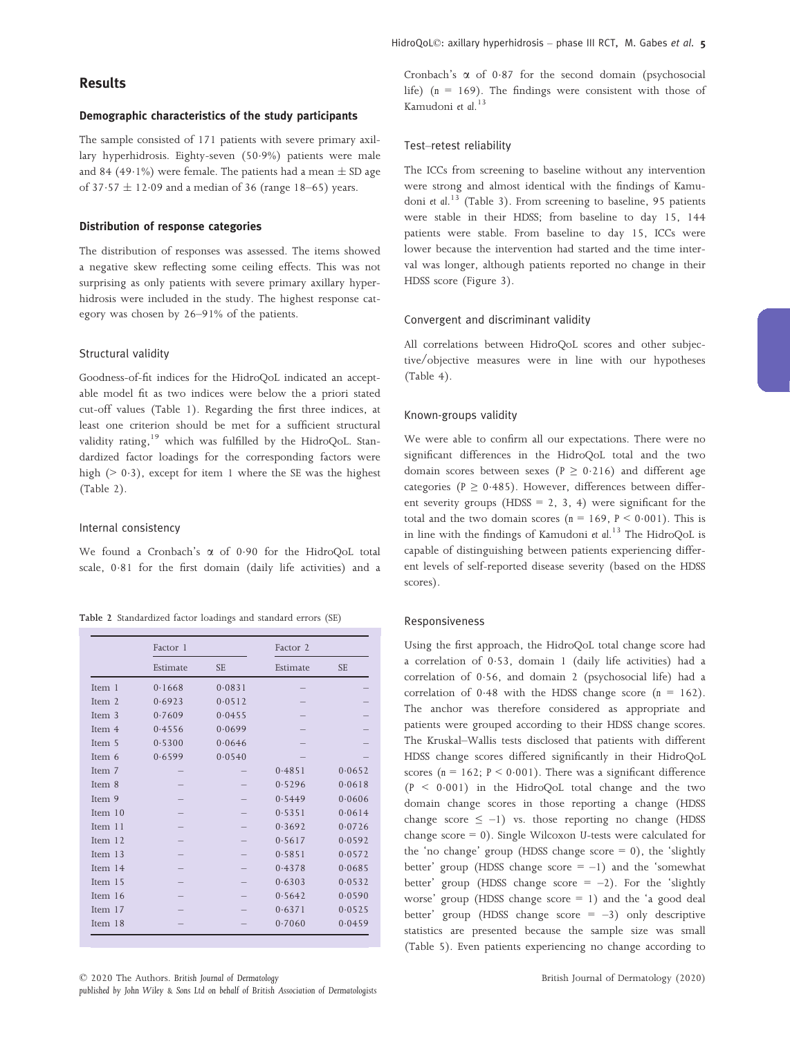# Demographic characteristics of the study participants

The sample consisted of 171 patients with severe primary axillary hyperhidrosis. Eighty-seven (509%) patients were male and 84 (49.1%) were female. The patients had a mean  $\pm$  SD age of 37 $\cdot$ 57  $\pm$  12 $\cdot$ 09 and a median of 36 (range 18–65) years.

# Distribution of response categories

The distribution of responses was assessed. The items showed a negative skew reflecting some ceiling effects. This was not surprising as only patients with severe primary axillary hyperhidrosis were included in the study. The highest response category was chosen by 26–91% of the patients.

# Structural validity

Goodness-of-fit indices for the HidroQoL indicated an acceptable model fit as two indices were below the a priori stated cut-off values (Table 1). Regarding the first three indices, at least one criterion should be met for a sufficient structural validity rating, $19$  which was fulfilled by the HidroQoL. Standardized factor loadings for the corresponding factors were high ( $> 0.3$ ), except for item 1 where the SE was the highest (Table 2).

#### Internal consistency

We found a Cronbach's  $\alpha$  of 0.90 for the HidroQoL total scale, 0.81 for the first domain (daily life activities) and a

|  | Table 2 Standardized factor loadings and standard errors (SE) |  |  |  |
|--|---------------------------------------------------------------|--|--|--|
|  |                                                               |  |  |  |

|         | Factor 1 |           | Factor 2 |           |
|---------|----------|-----------|----------|-----------|
|         | Estimate | <b>SE</b> | Estimate | <b>SE</b> |
| Item 1  | 0.1668   | 0.0831    |          |           |
| Item 2  | 0.6923   | 0.0512    |          |           |
| Item 3  | 0.7609   | 0.0455    |          |           |
| Item 4  | 0.4556   | 0.0699    |          |           |
| Item 5  | 0.5300   | 0.0646    |          |           |
| Item 6  | 0.6599   | 0.0540    |          |           |
| Item 7  |          |           | 0.4851   | 0.0652    |
| Item 8  |          |           | 0.5296   | 0.0618    |
| Item 9  |          |           | 0.5449   | 0.0606    |
| Item 10 |          |           | 0.5351   | 0.0614    |
| Item 11 |          |           | 0.3692   | 0.0726    |
| Item 12 |          |           | 0.5617   | 0.0592    |
| Item 13 |          |           | 0.5851   | 0.0572    |
| Item 14 |          |           | 0.4378   | 0.0685    |
| Item 15 |          |           | 0.6303   | 0.0532    |
| Item 16 |          |           | 0.5642   | 0.0590    |
| Item 17 |          |           | 0.6371   | 0.0525    |
| Item 18 |          |           | 0.7060   | 0.0459    |

Cronbach's  $\alpha$  of 0.87 for the second domain (psychosocial life) ( $n = 169$ ). The findings were consistent with those of Kamudoni et al. 13

## Test–retest reliability

The ICCs from screening to baseline without any intervention were strong and almost identical with the findings of Kamudoni et al.<sup>13</sup> (Table 3). From screening to baseline, 95 patients were stable in their HDSS; from baseline to day 15, 144 patients were stable. From baseline to day 15, ICCs were lower because the intervention had started and the time interval was longer, although patients reported no change in their HDSS score (Figure 3).

## Convergent and discriminant validity

All correlations between HidroQoL scores and other subjective/objective measures were in line with our hypotheses (Table 4).

# Known-groups validity

We were able to confirm all our expectations. There were no significant differences in the HidroQoL total and the two domain scores between sexes ( $P \ge 0.216$ ) and different age categories ( $P \ge 0.485$ ). However, differences between different severity groups ( $HDSS = 2, 3, 4$ ) were significant for the total and the two domain scores ( $n = 169$ ,  $P < 0.001$ ). This is in line with the findings of Kamudoni et al.<sup>13</sup> The HidroQoL is capable of distinguishing between patients experiencing different levels of self-reported disease severity (based on the HDSS scores).

#### Responsiveness

Using the first approach, the HidroQoL total change score had a correlation of 053, domain 1 (daily life activities) had a correlation of 056, and domain 2 (psychosocial life) had a correlation of 0.48 with the HDSS change score  $(n = 162)$ . The anchor was therefore considered as appropriate and patients were grouped according to their HDSS change scores. The Kruskal–Wallis tests disclosed that patients with different HDSS change scores differed significantly in their HidroQoL scores ( $n = 162$ ;  $P < 0.001$ ). There was a significant difference  $(P < 0.001)$  in the HidroQoL total change and the two domain change scores in those reporting a change (HDSS change score  $\leq -1$ ) vs. those reporting no change (HDSS) change score = 0). Single Wilcoxon U-tests were calculated for the 'no change' group (HDSS change score  $= 0$ ), the 'slightly better' group (HDSS change score  $= -1$ ) and the 'somewhat better' group (HDSS change score  $= -2$ ). For the 'slightly worse' group (HDSS change score  $= 1$ ) and the 'a good deal better' group (HDSS change score  $= -3$ ) only descriptive statistics are presented because the sample size was small (Table 5). Even patients experiencing no change according to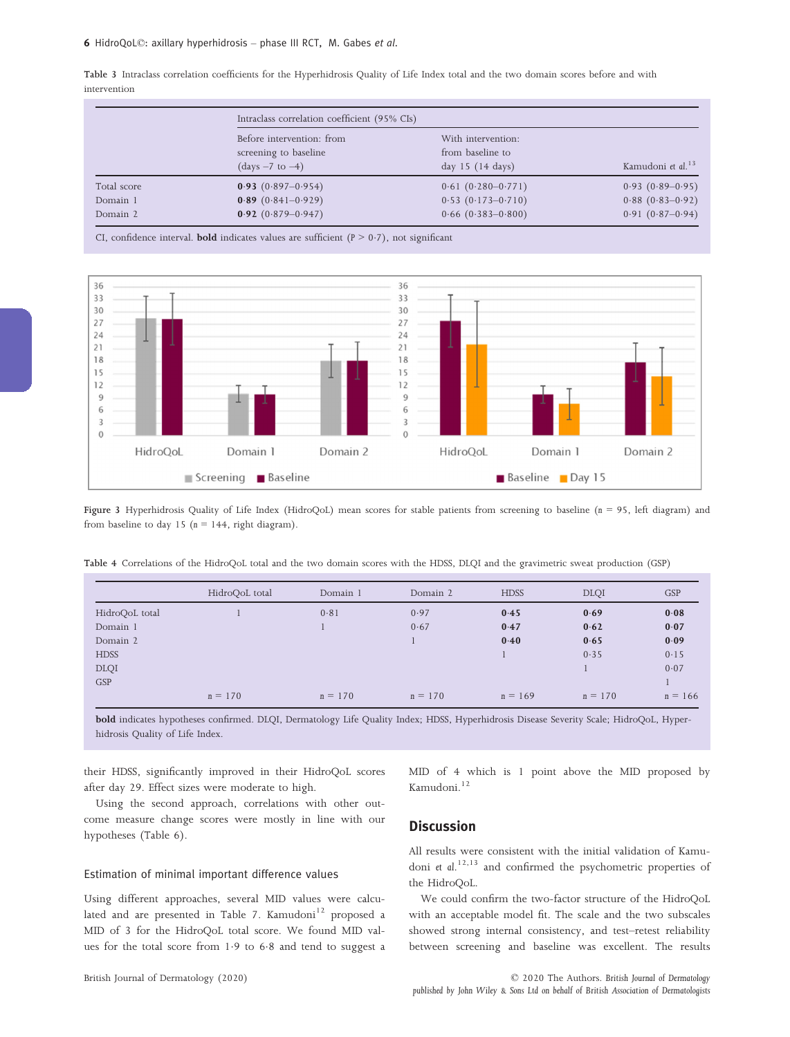Table 3 Intraclass correlation coefficients for the Hyperhidrosis Quality of Life Index total and the two domain scores before and with intervention

|                                     |                                                                                | Intraclass correlation coefficient (95% CIs)                               |                                                               |  |  |  |  |
|-------------------------------------|--------------------------------------------------------------------------------|----------------------------------------------------------------------------|---------------------------------------------------------------|--|--|--|--|
|                                     | Before intervention: from<br>screening to baseline<br>$\text{(days -7 to -4)}$ | With intervention:<br>from baseline to<br>day 15 (14 days)                 |                                                               |  |  |  |  |
| Total score<br>Domain 1<br>Domain 2 | $0.93(0.897 - 0.954)$<br>$0.89(0.841 - 0.929)$<br>$0.92(0.879 - 0.947)$        | $0.61(0.280 - 0.771)$<br>$0.53(0.173 - 0.710)$<br>$0.66$ $(0.383 - 0.800)$ | $0.93(0.89-0.95)$<br>$0.88(0.83 - 0.92)$<br>$0.91(0.87-0.94)$ |  |  |  |  |

CI, confidence interval. **bold** indicates values are sufficient  $(P > 0.7)$ , not significant



Figure 3 Hyperhidrosis Quality of Life Index (HidroQoL) mean scores for stable patients from screening to baseline (<sup>n</sup> <sup>=</sup> 95, left diagram) and from baseline to day 15 ( $n = 144$ , right diagram).

Table 4 Correlations of the HidroQoL total and the two domain scores with the HDSS, DLQI and the gravimetric sweat production (GSP)

|                | HidroQoL total | Domain 1  | Domain 2  | <b>HDSS</b> | <b>DLQI</b> | <b>GSP</b> |
|----------------|----------------|-----------|-----------|-------------|-------------|------------|
| HidroQoL total |                | 0.81      | 0.97      | 0.45        | 0.69        | 0.08       |
| Domain 1       |                |           | 0.67      | 0.47        | 0.62        | 0.07       |
| Domain 2       |                |           |           | 0.40        | 0.65        | 0.09       |
| <b>HDSS</b>    |                |           |           |             | 0.35        | 0.15       |
| <b>DLQI</b>    |                |           |           |             |             | 0.07       |
| <b>GSP</b>     |                |           |           |             |             |            |
|                | $n = 170$      | $n = 170$ | $n = 170$ | $n = 169$   | $n = 170$   | $n = 166$  |

bold indicates hypotheses confirmed. DLQI, Dermatology Life Quality Index; HDSS, Hyperhidrosis Disease Severity Scale; HidroQoL, Hyperhidrosis Quality of Life Index.

their HDSS, significantly improved in their HidroQoL scores after day 29. Effect sizes were moderate to high.

Using the second approach, correlations with other outcome measure change scores were mostly in line with our hypotheses (Table 6).

## Estimation of minimal important difference values

Using different approaches, several MID values were calculated and are presented in Table 7. Kamudoni $12$  proposed a MID of 3 for the HidroQoL total score. We found MID values for the total score from 1.9 to 6.8 and tend to suggest a

British Journal of Dermatology (2020)

MID of 4 which is 1 point above the MID proposed by Kamudoni.<sup>12</sup>

# **Discussion**

All results were consistent with the initial validation of Kamudoni et al. 12,13 and confirmed the psychometric properties of the HidroQoL.

We could confirm the two-factor structure of the HidroQoL with an acceptable model fit. The scale and the two subscales showed strong internal consistency, and test–retest reliability between screening and baseline was excellent. The results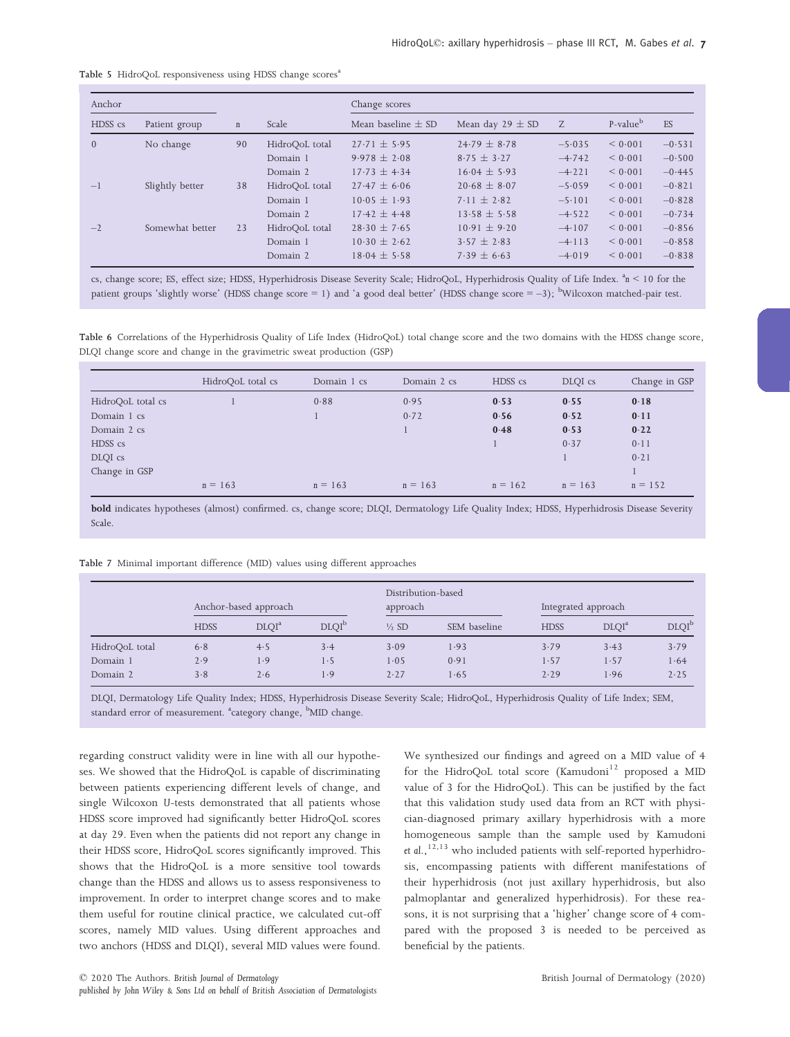#### Table 5 HidroQoL responsiveness using HDSS change scores<sup>a</sup>

| Anchor         |                 |             | Change scores  |                        |                      |          |                      |          |  |
|----------------|-----------------|-------------|----------------|------------------------|----------------------|----------|----------------------|----------|--|
| HDSS cs        | Patient group   | $\mathbf n$ | Scale          | Mean baseline $\pm$ SD | Mean day $29 \pm SD$ | Z        | P-value <sup>b</sup> | ES       |  |
| $\overline{0}$ | No change       | 90          | HidroQoL total | $27.71 \pm 5.95$       | $24.79 \pm 8.78$     | $-5.035$ | < 0.001              | $-0.531$ |  |
|                |                 |             | Domain 1       | $9.978 \pm 2.08$       | $8.75 \pm 3.27$      | $-4.742$ | < 0.001              | $-0.500$ |  |
|                |                 |             | Domain 2       | $17.73 + 4.34$         | $16.04 \pm 5.93$     | $-4.221$ | < 0.001              | $-0.445$ |  |
| $-1$           | Slightly better | 38          | HidroQoL total | $27.47 + 6.06$         | $20.68 \pm 8.07$     | $-5.059$ | < 0.001              | $-0.821$ |  |
|                |                 |             | Domain 1       | $10.05 \pm 1.93$       | $7.11 \pm 2.82$      | $-5.101$ | < 0.001              | $-0.828$ |  |
|                |                 |             | Domain 2       | $17.42 + 4.48$         | $13.58 \pm 5.58$     | $-4.522$ | < 0.001              | $-0.734$ |  |
| $-2$           | Somewhat better | 23          | HidroQoL total | $28.30 \pm 7.65$       | $10.91 + 9.20$       | $-4.107$ | < 0.001              | $-0.856$ |  |
|                |                 |             | Domain 1       | $10.30 \pm 2.62$       | $3.57 \pm 2.83$      | $-4.113$ | < 0.001              | $-0.858$ |  |
|                |                 |             | Domain 2       | $18.04 \pm 5.58$       | $7.39 \pm 6.63$      | $-4.019$ | < 0.001              | $-0.838$ |  |

cs, change score; ES, effect size; HDSS, Hyperhidrosis Disease Severity Scale; HidroQoL, Hyperhidrosis Quality of Life Index.  ${}^{\rm a}n$  < 10 for the patient groups 'slightly worse' (HDSS change score = 1) and 'a good deal better' (HDSS change score = –3); <sup>b</sup>Wilcoxon matched-pair test.

Table 6 Correlations of the Hyperhidrosis Quality of Life Index (HidroQoL) total change score and the two domains with the HDSS change score, DLQI change score and change in the gravimetric sweat production (GSP)

|                   | HidroQoL total cs | Domain 1 cs | Domain 2 cs | HDSS cs   | DLOI cs   | Change in GSP |
|-------------------|-------------------|-------------|-------------|-----------|-----------|---------------|
| HidroQoL total cs |                   | 0.88        | 0.95        | 0.53      | 0.55      | 0.18          |
| Domain 1 cs       |                   |             | 0.72        | 0.56      | 0.52      | 0.11          |
| Domain 2 cs       |                   |             |             | 0.48      | 0.53      | 0.22          |
| HDSS cs           |                   |             |             |           | 0.37      | 0.11          |
| DLQI cs           |                   |             |             |           |           | 0.21          |
| Change in GSP     |                   |             |             |           |           |               |
|                   | $n = 163$         | $n = 163$   | $n = 163$   | $n = 162$ | $n = 163$ | $n = 152$     |

bold indicates hypotheses (almost) confirmed. cs, change score; DLQI, Dermatology Life Quality Index; HDSS, Hyperhidrosis Disease Severity Scale.

|  |  |  |  | Table 7 Minimal important difference (MID) values using different approaches |
|--|--|--|--|------------------------------------------------------------------------------|
|  |  |  |  |                                                                              |

|                | Anchor-based approach |                   |                   | Distribution-based<br>approach |              | Integrated approach |                   |                   |
|----------------|-----------------------|-------------------|-------------------|--------------------------------|--------------|---------------------|-------------------|-------------------|
|                | <b>HDSS</b>           | DLOI <sup>a</sup> | DLOI <sup>b</sup> | $\frac{1}{2}$ SD               | SEM baseline | <b>HDSS</b>         | DLOI <sup>a</sup> | DLOI <sup>b</sup> |
| HidroQoL total | 6.8                   | 4.5               | 3.4               | 3.09                           | 1.93         | 3.79                | 3.43              | 3.79              |
| Domain 1       | 2.9                   | 1.9               | 1.5               | 1.05                           | 0.91         | 1.57                | 1.57              | 1.64              |
| Domain 2       | 3.8                   | 2.6               | 1.9               | 2.27                           | 1.65         | 2.29                | 1.96              | 2.25              |

DLQI, Dermatology Life Quality Index; HDSS, Hyperhidrosis Disease Severity Scale; HidroQoL, Hyperhidrosis Quality of Life Index; SEM, standard error of measurement. <sup>a</sup>category change, <sup>b</sup>MID change.

regarding construct validity were in line with all our hypotheses. We showed that the HidroQoL is capable of discriminating between patients experiencing different levels of change, and single Wilcoxon U-tests demonstrated that all patients whose HDSS score improved had significantly better HidroQoL scores at day 29. Even when the patients did not report any change in their HDSS score, HidroQoL scores significantly improved. This shows that the HidroQoL is a more sensitive tool towards change than the HDSS and allows us to assess responsiveness to improvement. In order to interpret change scores and to make them useful for routine clinical practice, we calculated cut-off scores, namely MID values. Using different approaches and two anchors (HDSS and DLQI), several MID values were found. We synthesized our findings and agreed on a MID value of 4 for the HidroQoL total score  $(Kamudoni<sup>12</sup>$  proposed a MID value of 3 for the HidroQoL). This can be justified by the fact that this validation study used data from an RCT with physician-diagnosed primary axillary hyperhidrosis with a more homogeneous sample than the sample used by Kamudoni et al., $12,13$  who included patients with self-reported hyperhidrosis, encompassing patients with different manifestations of their hyperhidrosis (not just axillary hyperhidrosis, but also palmoplantar and generalized hyperhidrosis). For these reasons, it is not surprising that a 'higher' change score of 4 compared with the proposed 3 is needed to be perceived as beneficial by the patients.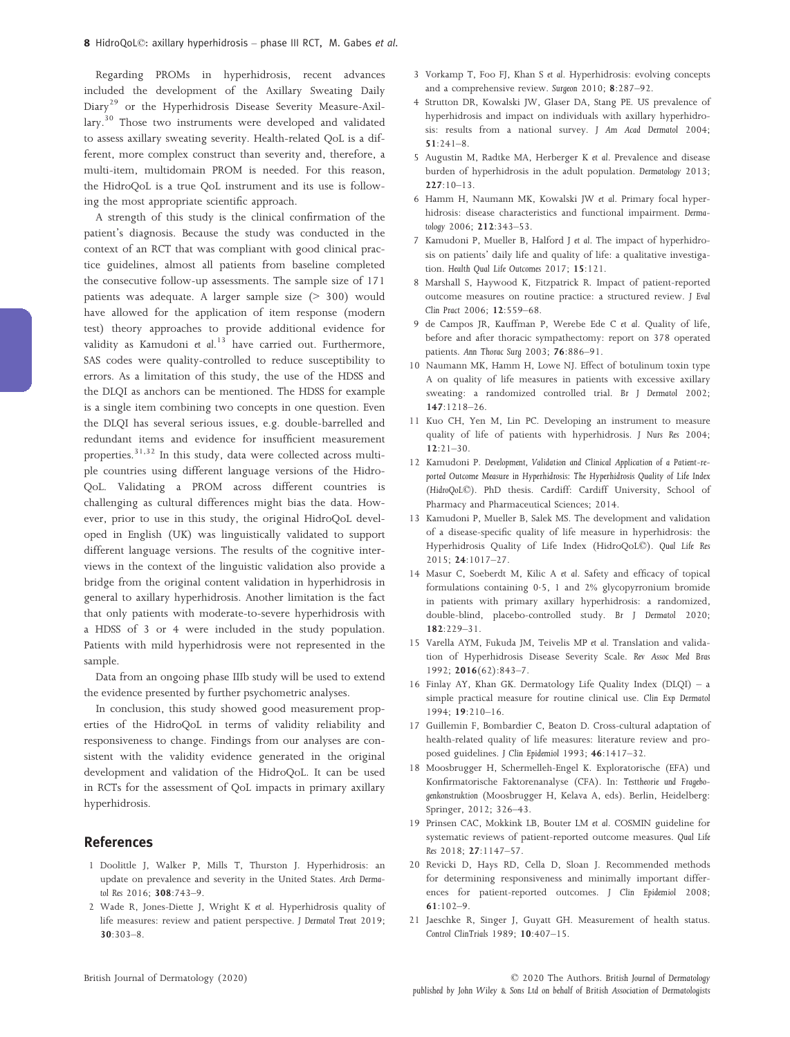Regarding PROMs in hyperhidrosis, recent advances included the development of the Axillary Sweating Daily Diary<sup>29</sup> or the Hyperhidrosis Disease Severity Measure-Axillary.<sup>30</sup> Those two instruments were developed and validated to assess axillary sweating severity. Health-related QoL is a different, more complex construct than severity and, therefore, a multi-item, multidomain PROM is needed. For this reason, the HidroQoL is a true QoL instrument and its use is following the most appropriate scientific approach.

A strength of this study is the clinical confirmation of the patient's diagnosis. Because the study was conducted in the context of an RCT that was compliant with good clinical practice guidelines, almost all patients from baseline completed the consecutive follow-up assessments. The sample size of 171 patients was adequate. A larger sample size (> 300) would have allowed for the application of item response (modern test) theory approaches to provide additional evidence for validity as Kamudoni et al.<sup>13</sup> have carried out. Furthermore, SAS codes were quality-controlled to reduce susceptibility to errors. As a limitation of this study, the use of the HDSS and the DLQI as anchors can be mentioned. The HDSS for example is a single item combining two concepts in one question. Even the DLQI has several serious issues, e.g. double-barrelled and redundant items and evidence for insufficient measurement properties. $31,32$  In this study, data were collected across multiple countries using different language versions of the Hidro-QoL. Validating a PROM across different countries is challenging as cultural differences might bias the data. However, prior to use in this study, the original HidroQoL developed in English (UK) was linguistically validated to support different language versions. The results of the cognitive interviews in the context of the linguistic validation also provide a bridge from the original content validation in hyperhidrosis in general to axillary hyperhidrosis. Another limitation is the fact that only patients with moderate-to-severe hyperhidrosis with a HDSS of 3 or 4 were included in the study population. Patients with mild hyperhidrosis were not represented in the sample.

Data from an ongoing phase IIIb study will be used to extend the evidence presented by further psychometric analyses.

In conclusion, this study showed good measurement properties of the HidroQoL in terms of validity reliability and responsiveness to change. Findings from our analyses are consistent with the validity evidence generated in the original development and validation of the HidroQoL. It can be used in RCTs for the assessment of QoL impacts in primary axillary hyperhidrosis.

# References

- 1 Doolittle J, Walker P, Mills T, Thurston J. Hyperhidrosis: an update on prevalence and severity in the United States. Arch Dermatol Res 2016; 308:743–9.
- 2 Wade R, Jones-Diette J, Wright K et al. Hyperhidrosis quality of life measures: review and patient perspective. J Dermatol Treat 2019; 30:303–8.
- 3 Vorkamp T, Foo FJ, Khan S et al. Hyperhidrosis: evolving concepts and a comprehensive review. Surgeon 2010; 8:287–92.
- 4 Strutton DR, Kowalski JW, Glaser DA, Stang PE. US prevalence of hyperhidrosis and impact on individuals with axillary hyperhidrosis: results from a national survey. J Am Acad Dermatol 2004; 51:241–8.
- 5 Augustin M, Radtke MA, Herberger K et al. Prevalence and disease burden of hyperhidrosis in the adult population. Dermatology 2013;  $227:10-13$ .
- 6 Hamm H, Naumann MK, Kowalski JW et al. Primary focal hyperhidrosis: disease characteristics and functional impairment. Dermatology 2006; 212:343–53.
- 7 Kamudoni P, Mueller B, Halford J et al. The impact of hyperhidrosis on patients' daily life and quality of life: a qualitative investigation. Health Qual Life Outcomes 2017; 15:121.
- 8 Marshall S, Haywood K, Fitzpatrick R. Impact of patient-reported outcome measures on routine practice: a structured review. J Eval Clin Pract 2006; 12:559–68.
- 9 de Campos JR, Kauffman P, Werebe Ede C et al. Quality of life, before and after thoracic sympathectomy: report on 378 operated patients. Ann Thorac Surg 2003; 76:886–91.
- 10 Naumann MK, Hamm H, Lowe NJ. Effect of botulinum toxin type A on quality of life measures in patients with excessive axillary sweating: a randomized controlled trial. Br J Dermatol 2002; 147:1218–26.
- 11 Kuo CH, Yen M, Lin PC. Developing an instrument to measure quality of life of patients with hyperhidrosis. J Nurs Res 2004; 12:21–30.
- 12 Kamudoni P. Development, Validation and Clinical Application of a Patient-reported Outcome Measure in Hyperhidrosis: The Hyperhidrosis Quality of Life Index (HidroQoL©). PhD thesis. Cardiff: Cardiff University, School of Pharmacy and Pharmaceutical Sciences; 2014.
- 13 Kamudoni P, Mueller B, Salek MS. The development and validation of a disease-specific quality of life measure in hyperhidrosis: the Hyperhidrosis Quality of Life Index (HidroQoL©). Qual Life Res 2015; 24:1017–27.
- 14 Masur C, Soeberdt M, Kilic A et al. Safety and efficacy of topical formulations containing 05, 1 and 2% glycopyrronium bromide in patients with primary axillary hyperhidrosis: a randomized, double-blind, placebo-controlled study. Br J Dermatol 2020; 182:229–31.
- 15 Varella AYM, Fukuda JM, Teivelis MP et al. Translation and validation of Hyperhidrosis Disease Severity Scale. Rev Assoc Med Bras 1992; 2016(62):843–7.
- 16 Finlay AY, Khan GK. Dermatology Life Quality Index (DLQI) a simple practical measure for routine clinical use. Clin Exp Dermatol 1994; 19:210–16.
- 17 Guillemin F, Bombardier C, Beaton D. Cross-cultural adaptation of health-related quality of life measures: literature review and proposed guidelines. J Clin Epidemiol 1993; 46:1417–32.
- 18 Moosbrugger H, Schermelleh-Engel K. Exploratorische (EFA) und Konfirmatorische Faktorenanalyse (CFA). In: Testtheorie und Fragebogenkonstruktion (Moosbrugger H, Kelava A, eds). Berlin, Heidelberg: Springer, 2012; 326–43.
- 19 Prinsen CAC, Mokkink LB, Bouter LM et al. COSMIN guideline for systematic reviews of patient-reported outcome measures. Qual Life Res 2018; 27:1147–57.
- 20 Revicki D, Hays RD, Cella D, Sloan J. Recommended methods for determining responsiveness and minimally important differences for patient-reported outcomes. J Clin Epidemiol 2008; 61:102–9.
- 21 Jaeschke R, Singer J, Guyatt GH. Measurement of health status. Control ClinTrials 1989; 10:407–15.